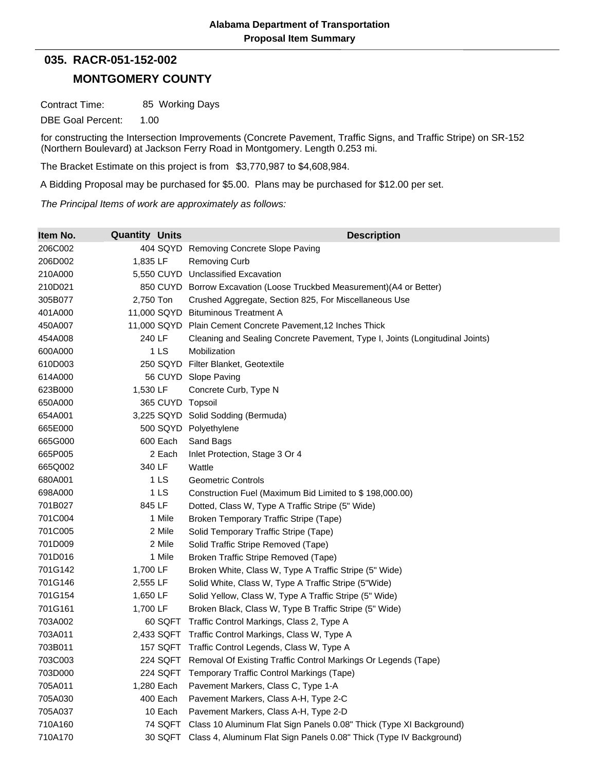## **035. RACR-051-152-002**

## **MONTGOMERY COUNTY**

Contract Time: 85 Working Days

DBE Goal Percent: 1.00

for constructing the Intersection Improvements (Concrete Pavement, Traffic Signs, and Traffic Stripe) on SR-152 (Northern Boulevard) at Jackson Ferry Road in Montgomery. Length 0.253 mi.

The Bracket Estimate on this project is from \$3,770,987 to \$4,608,984.

A Bidding Proposal may be purchased for \$5.00. Plans may be purchased for \$12.00 per set.

*The Principal Items of work are approximately as follows:*

| Item No. | <b>Quantity Units</b> | <b>Description</b>                                                           |
|----------|-----------------------|------------------------------------------------------------------------------|
| 206C002  | 404 SQYD              | Removing Concrete Slope Paving                                               |
| 206D002  | 1,835 LF              | <b>Removing Curb</b>                                                         |
| 210A000  |                       | 5,550 CUYD Unclassified Excavation                                           |
| 210D021  |                       | 850 CUYD Borrow Excavation (Loose Truckbed Measurement) (A4 or Better)       |
| 305B077  | 2,750 Ton             | Crushed Aggregate, Section 825, For Miscellaneous Use                        |
| 401A000  | 11,000 SQYD           | <b>Bituminous Treatment A</b>                                                |
| 450A007  | 11,000 SQYD           | Plain Cement Concrete Pavement, 12 Inches Thick                              |
| 454A008  | 240 LF                | Cleaning and Sealing Concrete Pavement, Type I, Joints (Longitudinal Joints) |
| 600A000  | 1 LS                  | Mobilization                                                                 |
| 610D003  | 250 SQYD              | Filter Blanket, Geotextile                                                   |
| 614A000  |                       | 56 CUYD Slope Paving                                                         |
| 623B000  | 1,530 LF              | Concrete Curb, Type N                                                        |
| 650A000  | 365 CUYD Topsoil      |                                                                              |
| 654A001  |                       | 3,225 SQYD Solid Sodding (Bermuda)                                           |
| 665E000  |                       | 500 SQYD Polyethylene                                                        |
| 665G000  | 600 Each              | Sand Bags                                                                    |
| 665P005  | 2 Each                | Inlet Protection, Stage 3 Or 4                                               |
| 665Q002  | 340 LF                | Wattle                                                                       |
| 680A001  | 1 LS                  | <b>Geometric Controls</b>                                                    |
| 698A000  | 1 LS                  | Construction Fuel (Maximum Bid Limited to \$198,000.00)                      |
| 701B027  | 845 LF                | Dotted, Class W, Type A Traffic Stripe (5" Wide)                             |
| 701C004  | 1 Mile                | Broken Temporary Traffic Stripe (Tape)                                       |
| 701C005  | 2 Mile                | Solid Temporary Traffic Stripe (Tape)                                        |
| 701D009  | 2 Mile                | Solid Traffic Stripe Removed (Tape)                                          |
| 701D016  | 1 Mile                | Broken Traffic Stripe Removed (Tape)                                         |
| 701G142  | 1,700 LF              | Broken White, Class W, Type A Traffic Stripe (5" Wide)                       |
| 701G146  | 2,555 LF              | Solid White, Class W, Type A Traffic Stripe (5"Wide)                         |
| 701G154  | 1,650 LF              | Solid Yellow, Class W, Type A Traffic Stripe (5" Wide)                       |
| 701G161  | 1,700 LF              | Broken Black, Class W, Type B Traffic Stripe (5" Wide)                       |
| 703A002  | 60 SQFT               | Traffic Control Markings, Class 2, Type A                                    |
| 703A011  | 2,433 SQFT            | Traffic Control Markings, Class W, Type A                                    |
| 703B011  | <b>157 SQFT</b>       | Traffic Control Legends, Class W, Type A                                     |
| 703C003  | 224 SQFT              | Removal Of Existing Traffic Control Markings Or Legends (Tape)               |
| 703D000  | 224 SQFT              | Temporary Traffic Control Markings (Tape)                                    |
| 705A011  | 1,280 Each            | Pavement Markers, Class C, Type 1-A                                          |
| 705A030  | 400 Each              | Pavement Markers, Class A-H, Type 2-C                                        |
| 705A037  | 10 Each               | Pavement Markers, Class A-H, Type 2-D                                        |
| 710A160  | 74 SQFT               | Class 10 Aluminum Flat Sign Panels 0.08" Thick (Type XI Background)          |
| 710A170  | 30 SQFT               | Class 4, Aluminum Flat Sign Panels 0.08" Thick (Type IV Background)          |